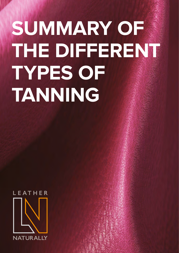# **SUMMARY OF THE DIFFERENT TYPES OF TANNING**

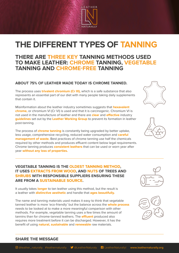

## **THE DIFFERENT TYPES OF TANNING**

## **THERE ARE THREE KEY TANNING METHODS USED TO MAKE LEATHER: CHROME TANNING, VEGETABLE TANNING AND CHROME-FREE TANNING**

## **ABOUT 75% OF LEATHER MADE TODAY IS CHROME TANNED.**

The process uses **trivalent chromium (Cr III),** which is a safe substance that also represents an essential part of our diet with many people taking daily supplements that contain it.

Misinformation about the leather industry sometimes suggests that **hexavalent chrome,** or chromium VI (Cr VI) is used and that it is carcinogenic. Chromium VI is not used in the manufacture of leather and there are **clear** and **effective** industry **guidelines** set out by the **Leather Working Group** to prevent its formation in leather post-tanning.

The process of **chrome tanning** is constantly being upgraded by better uptake, less usage, comprehensive recycling, reduced water consumption and **careful management of waste.** Best practices of chrome tanning use half the chemicals required by other methods and produces effluent content below legal requirements. Chrome tanning produces **consistent leathers** that can be used or worn year after year **without any loss of properties.**

**VEGETABLE TANNING IS THE OLDEST TANNING METHOD, IT USES EXTRACTS FROM WOOD, AND NUTS OF TREES AND SHRUBS WITH RESPONSIBLE SUPPLIERS ENSURING THESE ARE FROM A SUSTAINABLE SOURCE.**

It usually takes **longer** to tan leather using this method, but the result is a leather with **distinctive aesthetic** and handle that **ages beautifully.**

**SHARE THE MESSAGE**

The name and tanning materials used makes it easy to think that vegetable tanned leather is more 'eco-friendly' but the balance across the **whole process** needs to be looked at to make a more meaningful comparison with other methods. For example, vegetable tanning uses a few times the amount of tannins than for chrome-tanned leathers. The **effluent** produced also requires more treatment before it can be discharged. However, it has the benefit of using **natural, sustainable** and **renewable** raw materials.